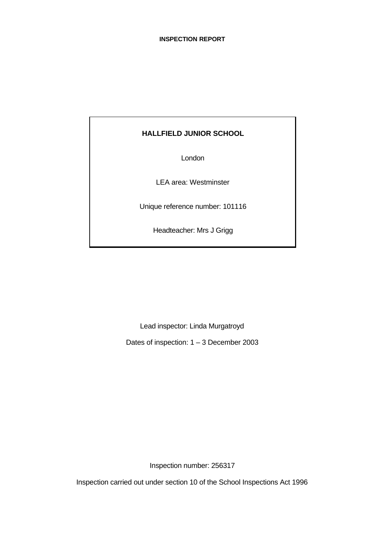# **HALLFIELD JUNIOR SCHOOL**

London

LEA area: Westminster

Unique reference number: 101116

Headteacher: Mrs J Grigg

Lead inspector: Linda Murgatroyd

Dates of inspection: 1 – 3 December 2003

Inspection number: 256317

Inspection carried out under section 10 of the School Inspections Act 1996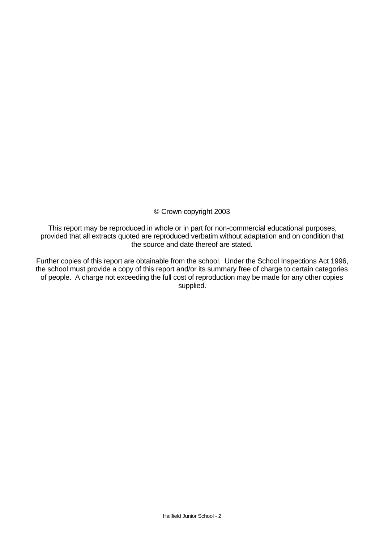# © Crown copyright 2003

This report may be reproduced in whole or in part for non-commercial educational purposes, provided that all extracts quoted are reproduced verbatim without adaptation and on condition that the source and date thereof are stated.

Further copies of this report are obtainable from the school. Under the School Inspections Act 1996, the school must provide a copy of this report and/or its summary free of charge to certain categories of people. A charge not exceeding the full cost of reproduction may be made for any other copies supplied.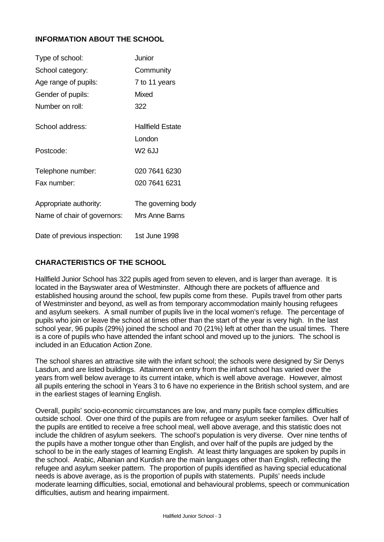# **INFORMATION ABOUT THE SCHOOL**

| Type of school:              | Junior                  |
|------------------------------|-------------------------|
| School category:             | Community               |
| Age range of pupils:         | 7 to 11 years           |
| Gender of pupils:            | Mixed                   |
| Number on roll:              | 322                     |
| School address:              | <b>Hallfield Estate</b> |
|                              | London                  |
| Postcode:                    | <b>W2 6JJ</b>           |
| Telephone number:            | 020 7641 6230           |
| Fax number:                  | 020 7641 6231           |
| Appropriate authority:       | The governing body      |
| Name of chair of governors:  | Mrs Anne Barns          |
| Date of previous inspection: | 1st June 1998           |

# **CHARACTERISTICS OF THE SCHOOL**

Hallfield Junior School has 322 pupils aged from seven to eleven, and is larger than average. It is located in the Bayswater area of Westminster. Although there are pockets of affluence and established housing around the school, few pupils come from these. Pupils travel from other parts of Westminster and beyond, as well as from temporary accommodation mainly housing refugees and asylum seekers. A small number of pupils live in the local women's refuge. The percentage of pupils who join or leave the school at times other than the start of the year is very high. In the last school year, 96 pupils (29%) joined the school and 70 (21%) left at other than the usual times. There is a core of pupils who have attended the infant school and moved up to the juniors. The school is included in an Education Action Zone.

The school shares an attractive site with the infant school; the schools were designed by Sir Denys Lasdun, and are listed buildings. Attainment on entry from the infant school has varied over the years from well below average to its current intake, which is well above average. However, almost all pupils entering the school in Years 3 to 6 have no experience in the British school system, and are in the earliest stages of learning English.

Overall, pupils' socio-economic circumstances are low, and many pupils face complex difficulties outside school. Over one third of the pupils are from refugee or asylum seeker families. Over half of the pupils are entitled to receive a free school meal, well above average, and this statistic does not include the children of asylum seekers. The school's population is very diverse. Over nine tenths of the pupils have a mother tongue other than English, and over half of the pupils are judged by the school to be in the early stages of learning English. At least thirty languages are spoken by pupils in the school. Arabic, Albanian and Kurdish are the main languages other than English, reflecting the refugee and asylum seeker pattern. The proportion of pupils identified as having special educational needs is above average, as is the proportion of pupils with statements. Pupils' needs include moderate learning difficulties, social, emotional and behavioural problems, speech or communication difficulties, autism and hearing impairment.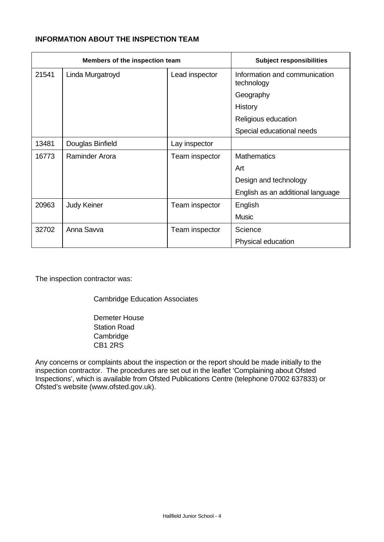# **INFORMATION ABOUT THE INSPECTION TEAM**

| Members of the inspection team |                    |                | <b>Subject responsibilities</b>             |
|--------------------------------|--------------------|----------------|---------------------------------------------|
| 21541                          | Linda Murgatroyd   | Lead inspector | Information and communication<br>technology |
|                                |                    |                | Geography                                   |
|                                |                    |                | History                                     |
|                                |                    |                | Religious education                         |
|                                |                    |                | Special educational needs                   |
| 13481                          | Douglas Binfield   | Lay inspector  |                                             |
| 16773                          | Raminder Arora     | Team inspector | <b>Mathematics</b>                          |
|                                |                    |                | Art                                         |
|                                |                    |                | Design and technology                       |
|                                |                    |                | English as an additional language           |
| 20963                          | <b>Judy Keiner</b> | Team inspector | English                                     |
|                                |                    |                | <b>Music</b>                                |
| 32702                          | Anna Savva         | Team inspector | Science                                     |
|                                |                    |                | Physical education                          |

The inspection contractor was:

Cambridge Education Associates

Demeter House Station Road Cambridge CB1 2RS

Any concerns or complaints about the inspection or the report should be made initially to the inspection contractor. The procedures are set out in the leaflet 'Complaining about Ofsted Inspections', which is available from Ofsted Publications Centre (telephone 07002 637833) or Ofsted's website (www.ofsted.gov.uk).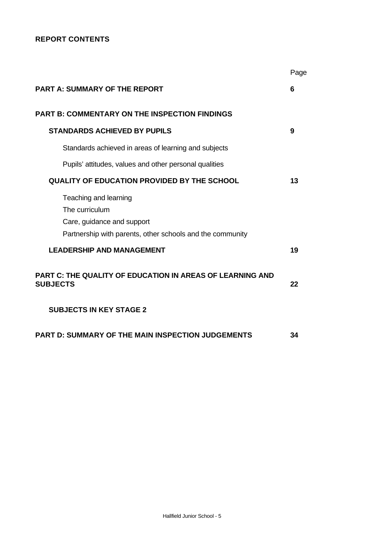# **REPORT CONTENTS**

|                                                                                                                                    | Page |
|------------------------------------------------------------------------------------------------------------------------------------|------|
| <b>PART A: SUMMARY OF THE REPORT</b>                                                                                               | 6    |
| <b>PART B: COMMENTARY ON THE INSPECTION FINDINGS</b>                                                                               |      |
| <b>STANDARDS ACHIEVED BY PUPILS</b>                                                                                                | 9    |
| Standards achieved in areas of learning and subjects                                                                               |      |
| Pupils' attitudes, values and other personal qualities                                                                             |      |
| <b>QUALITY OF EDUCATION PROVIDED BY THE SCHOOL</b>                                                                                 | 13   |
| Teaching and learning<br>The curriculum<br>Care, guidance and support<br>Partnership with parents, other schools and the community |      |
| <b>LEADERSHIP AND MANAGEMENT</b>                                                                                                   | 19   |
| PART C: THE QUALITY OF EDUCATION IN AREAS OF LEARNING AND<br><b>SUBJECTS</b>                                                       | 22   |
| <b>SUBJECTS IN KEY STAGE 2</b>                                                                                                     |      |
| PART D: SUMMARY OF THE MAIN INSPECTION JUDGEMENTS                                                                                  | 34   |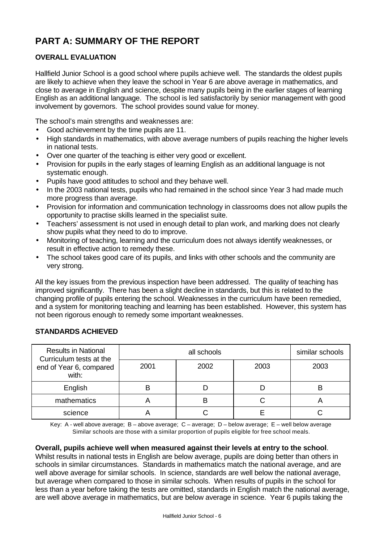# **PART A: SUMMARY OF THE REPORT**

# **OVERALL EVALUATION**

Hallfield Junior School is a good school where pupils achieve well. The standards the oldest pupils are likely to achieve when they leave the school in Year 6 are above average in mathematics, and close to average in English and science, despite many pupils being in the earlier stages of learning English as an additional language. The school is led satisfactorily by senior management with good involvement by governors. The school provides sound value for money.

The school's main strengths and weaknesses are:

- Good achievement by the time pupils are 11.
- High standards in mathematics, with above average numbers of pupils reaching the higher levels in national tests.
- Over one quarter of the teaching is either very good or excellent.
- Provision for pupils in the early stages of learning English as an additional language is not systematic enough.
- Pupils have good attitudes to school and they behave well.
- In the 2003 national tests, pupils who had remained in the school since Year 3 had made much more progress than average.
- Provision for information and communication technology in classrooms does not allow pupils the opportunity to practise skills learned in the specialist suite.
- Teachers' assessment is not used in enough detail to plan work, and marking does not clearly show pupils what they need to do to improve.
- Monitoring of teaching, learning and the curriculum does not always identify weaknesses, or result in effective action to remedy these.
- The school takes good care of its pupils, and links with other schools and the community are very strong.

All the key issues from the previous inspection have been addressed. The quality of teaching has improved significantly. There has been a slight decline in standards, but this is related to the changing profile of pupils entering the school. Weaknesses in the curriculum have been remedied, and a system for monitoring teaching and learning has been established. However, this system has not been rigorous enough to remedy some important weaknesses.

| <b>Results in National</b><br>Curriculum tests at the |      | similar schools |      |      |
|-------------------------------------------------------|------|-----------------|------|------|
| end of Year 6, compared<br>with:                      | 2001 | 2002            | 2003 | 2003 |
| English                                               |      |                 |      |      |
| mathematics                                           |      | В               |      |      |
| science                                               |      |                 |      |      |

# **STANDARDS ACHIEVED**

Key: A - well above average; B – above average; C – average; D – below average; E – well below average Similar schools are those with a similar proportion of pupils eligible for free school meals.

#### **Overall, pupils achieve well when measured against their levels at entry to the school**.

Whilst results in national tests in English are below average, pupils are doing better than others in schools in similar circumstances. Standards in mathematics match the national average, and are well above average for similar schools. In science, standards are well below the national average, but average when compared to those in similar schools. When results of pupils in the school for less than a year before taking the tests are omitted, standards in English match the national average, are well above average in mathematics, but are below average in science. Year 6 pupils taking the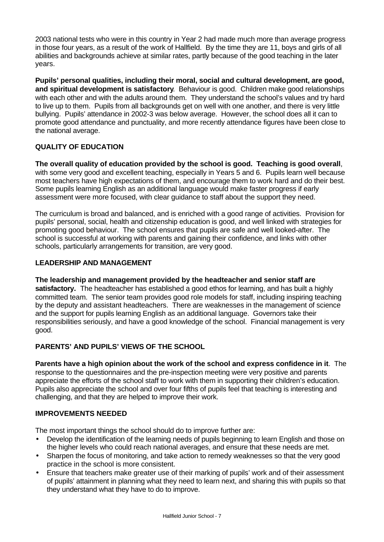2003 national tests who were in this country in Year 2 had made much more than average progress in those four years, as a result of the work of Hallfield. By the time they are 11, boys and girls of all abilities and backgrounds achieve at similar rates, partly because of the good teaching in the later years.

**Pupils' personal qualities, including their moral, social and cultural development, are good, and spiritual development is satisfactory**. Behaviour is good. Children make good relationships with each other and with the adults around them. They understand the school's values and try hard to live up to them. Pupils from all backgrounds get on well with one another, and there is very little bullying. Pupils' attendance in 2002-3 was below average. However, the school does all it can to promote good attendance and punctuality, and more recently attendance figures have been close to the national average.

# **QUALITY OF EDUCATION**

**The overall quality of education provided by the school is good. Teaching is good overall**, with some very good and excellent teaching, especially in Years 5 and 6. Pupils learn well because most teachers have high expectations of them, and encourage them to work hard and do their best. Some pupils learning English as an additional language would make faster progress if early assessment were more focused, with clear guidance to staff about the support they need.

The curriculum is broad and balanced, and is enriched with a good range of activities. Provision for pupils' personal, social, health and citizenship education is good, and well linked with strategies for promoting good behaviour. The school ensures that pupils are safe and well looked-after. The school is successful at working with parents and gaining their confidence, and links with other schools, particularly arrangements for transition, are very good.

# **LEADERSHIP AND MANAGEMENT**

#### **The leadership and management provided by the headteacher and senior staff are**

**satisfactory.**The headteacher has established a good ethos for learning, and has built a highly committed team. The senior team provides good role models for staff, including inspiring teaching by the deputy and assistant headteachers. There are weaknesses in the management of science and the support for pupils learning English as an additional language. Governors take their responsibilities seriously, and have a good knowledge of the school. Financial management is very good.

# **PARENTS' AND PUPILS' VIEWS OF THE SCHOOL**

**Parents have a high opinion about the work of the school and express confidence in it**. The response to the questionnaires and the pre-inspection meeting were very positive and parents appreciate the efforts of the school staff to work with them in supporting their children's education. Pupils also appreciate the school and over four fifths of pupils feel that teaching is interesting and challenging, and that they are helped to improve their work.

#### **IMPROVEMENTS NEEDED**

The most important things the school should do to improve further are:

- Develop the identification of the learning needs of pupils beginning to learn English and those on the higher levels who could reach national averages, and ensure that these needs are met.
- Sharpen the focus of monitoring, and take action to remedy weaknesses so that the very good practice in the school is more consistent.
- Ensure that teachers make greater use of their marking of pupils' work and of their assessment of pupils' attainment in planning what they need to learn next, and sharing this with pupils so that they understand what they have to do to improve.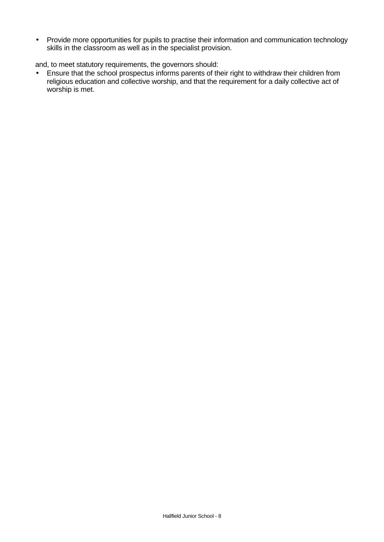• Provide more opportunities for pupils to practise their information and communication technology skills in the classroom as well as in the specialist provision.

and, to meet statutory requirements, the governors should:

• Ensure that the school prospectus informs parents of their right to withdraw their children from religious education and collective worship, and that the requirement for a daily collective act of worship is met.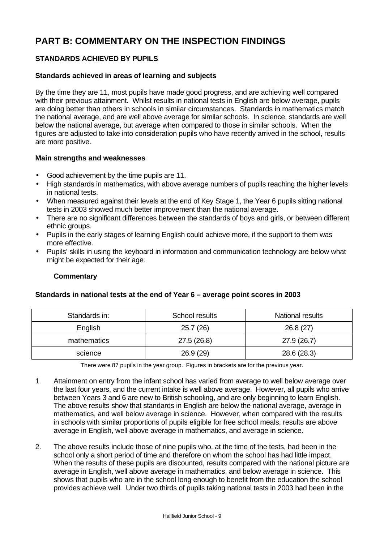# **PART B: COMMENTARY ON THE INSPECTION FINDINGS**

# **STANDARDS ACHIEVED BY PUPILS**

## **Standards achieved in areas of learning and subjects**

By the time they are 11, most pupils have made good progress, and are achieving well compared with their previous attainment. Whilst results in national tests in English are below average, pupils are doing better than others in schools in similar circumstances. Standards in mathematics match the national average, and are well above average for similar schools. In science, standards are well below the national average, but average when compared to those in similar schools. When the figures are adjusted to take into consideration pupils who have recently arrived in the school, results are more positive.

#### **Main strengths and weaknesses**

- Good achievement by the time pupils are 11.
- High standards in mathematics, with above average numbers of pupils reaching the higher levels in national tests.
- When measured against their levels at the end of Key Stage 1, the Year 6 pupils sitting national tests in 2003 showed much better improvement than the national average.
- There are no significant differences between the standards of boys and girls, or between different ethnic groups.
- Pupils in the early stages of learning English could achieve more, if the support to them was more effective.
- Pupils' skills in using the keyboard in information and communication technology are below what might be expected for their age.

#### **Commentary**

| Standards in: | School results | National results |  |
|---------------|----------------|------------------|--|
| English       | 25.7(26)       | 26.8(27)         |  |
| mathematics   | 27.5 (26.8)    | 27.9(26.7)       |  |
| science       | 26.9(29)       | 28.6 (28.3)      |  |

#### **Standards in national tests at the end of Year 6 – average point scores in 2003**

There were 87 pupils in the year group. Figures in brackets are for the previous year.

- 1. Attainment on entry from the infant school has varied from average to well below average over the last four years, and the current intake is well above average. However, all pupils who arrive between Years 3 and 6 are new to British schooling, and are only beginning to learn English. The above results show that standards in English are below the national average, average in mathematics, and well below average in science. However, when compared with the results in schools with similar proportions of pupils eligible for free school meals, results are above average in English, well above average in mathematics, and average in science.
- 2. The above results include those of nine pupils who, at the time of the tests, had been in the school only a short period of time and therefore on whom the school has had little impact. When the results of these pupils are discounted, results compared with the national picture are average in English, well above average in mathematics, and below average in science. This shows that pupils who are in the school long enough to benefit from the education the school provides achieve well. Under two thirds of pupils taking national tests in 2003 had been in the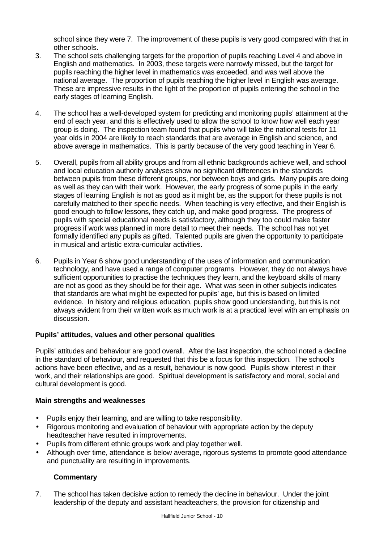school since they were 7. The improvement of these pupils is very good compared with that in other schools.

- 3. The school sets challenging targets for the proportion of pupils reaching Level 4 and above in English and mathematics. In 2003, these targets were narrowly missed, but the target for pupils reaching the higher level in mathematics was exceeded, and was well above the national average. The proportion of pupils reaching the higher level in English was average. These are impressive results in the light of the proportion of pupils entering the school in the early stages of learning English.
- 4. The school has a well-developed system for predicting and monitoring pupils' attainment at the end of each year, and this is effectively used to allow the school to know how well each year group is doing. The inspection team found that pupils who will take the national tests for 11 year olds in 2004 are likely to reach standards that are average in English and science, and above average in mathematics. This is partly because of the very good teaching in Year 6.
- 5. Overall, pupils from all ability groups and from all ethnic backgrounds achieve well, and school and local education authority analyses show no significant differences in the standards between pupils from these different groups, nor between boys and girls. Many pupils are doing as well as they can with their work. However, the early progress of some pupils in the early stages of learning English is not as good as it might be, as the support for these pupils is not carefully matched to their specific needs. When teaching is very effective, and their English is good enough to follow lessons, they catch up, and make good progress. The progress of pupils with special educational needs is satisfactory, although they too could make faster progress if work was planned in more detail to meet their needs. The school has not yet formally identified any pupils as gifted. Talented pupils are given the opportunity to participate in musical and artistic extra-curricular activities.
- 6. Pupils in Year 6 show good understanding of the uses of information and communication technology, and have used a range of computer programs. However, they do not always have sufficient opportunities to practise the techniques they learn, and the keyboard skills of many are not as good as they should be for their age. What was seen in other subjects indicates that standards are what might be expected for pupils' age, but this is based on limited evidence. In history and religious education, pupils show good understanding, but this is not always evident from their written work as much work is at a practical level with an emphasis on discussion.

# **Pupils' attitudes, values and other personal qualities**

Pupils' attitudes and behaviour are good overall. After the last inspection, the school noted a decline in the standard of behaviour, and requested that this be a focus for this inspection. The school's actions have been effective, and as a result, behaviour is now good. Pupils show interest in their work, and their relationships are good. Spiritual development is satisfactory and moral, social and cultural development is good.

#### **Main strengths and weaknesses**

- Pupils enjoy their learning, and are willing to take responsibility.
- Rigorous monitoring and evaluation of behaviour with appropriate action by the deputy headteacher have resulted in improvements.
- Pupils from different ethnic groups work and play together well.
- Although over time, attendance is below average, rigorous systems to promote good attendance and punctuality are resulting in improvements.

# **Commentary**

7. The school has taken decisive action to remedy the decline in behaviour. Under the joint leadership of the deputy and assistant headteachers, the provision for citizenship and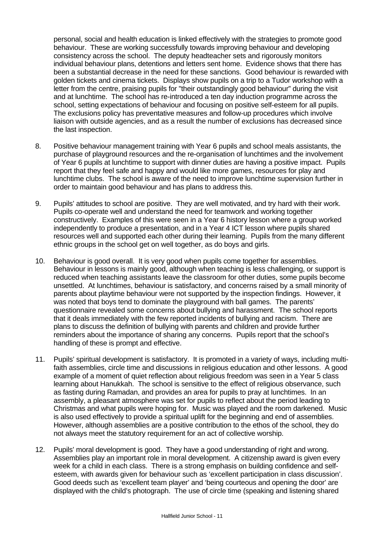personal, social and health education is linked effectively with the strategies to promote good behaviour. These are working successfully towards improving behaviour and developing consistency across the school. The deputy headteacher sets and rigorously monitors individual behaviour plans, detentions and letters sent home. Evidence shows that there has been a substantial decrease in the need for these sanctions. Good behaviour is rewarded with golden tickets and cinema tickets. Displays show pupils on a trip to a Tudor workshop with a letter from the centre, praising pupils for "their outstandingly good behaviour" during the visit and at lunchtime. The school has re-introduced a ten day induction programme across the school, setting expectations of behaviour and focusing on positive self-esteem for all pupils. The exclusions policy has preventative measures and follow-up procedures which involve liaison with outside agencies, and as a result the number of exclusions has decreased since the last inspection.

- 8. Positive behaviour management training with Year 6 pupils and school meals assistants, the purchase of playground resources and the re-organisation of lunchtimes and the involvement of Year 6 pupils at lunchtime to support with dinner duties are having a positive impact. Pupils report that they feel safe and happy and would like more games, resources for play and lunchtime clubs. The school is aware of the need to improve lunchtime supervision further in order to maintain good behaviour and has plans to address this.
- 9. Pupils' attitudes to school are positive. They are well motivated, and try hard with their work. Pupils co-operate well and understand the need for teamwork and working together constructively. Examples of this were seen in a Year 6 history lesson where a group worked independently to produce a presentation, and in a Year 4 ICT lesson where pupils shared resources well and supported each other during their learning. Pupils from the many different ethnic groups in the school get on well together, as do boys and girls.
- 10. Behaviour is good overall. It is very good when pupils come together for assemblies. Behaviour in lessons is mainly good, although when teaching is less challenging, or support is reduced when teaching assistants leave the classroom for other duties, some pupils become unsettled. At lunchtimes, behaviour is satisfactory, and concerns raised by a small minority of parents about playtime behaviour were not supported by the inspection findings. However, it was noted that boys tend to dominate the playground with ball games. The parents' questionnaire revealed some concerns about bullying and harassment. The school reports that it deals immediately with the few reported incidents of bullying and racism. There are plans to discuss the definition of bullying with parents and children and provide further reminders about the importance of sharing any concerns. Pupils report that the school's handling of these is prompt and effective.
- 11. Pupils' spiritual development is satisfactory. It is promoted in a variety of ways, including multifaith assemblies, circle time and discussions in religious education and other lessons. A good example of a moment of quiet reflection about religious freedom was seen in a Year 5 class learning about Hanukkah. The school is sensitive to the effect of religious observance, such as fasting during Ramadan, and provides an area for pupils to pray at lunchtimes. In an assembly, a pleasant atmosphere was set for pupils to reflect about the period leading to Christmas and what pupils were hoping for. Music was played and the room darkened. Music is also used effectively to provide a spiritual uplift for the beginning and end of assemblies. However, although assemblies are a positive contribution to the ethos of the school, they do not always meet the statutory requirement for an act of collective worship.
- 12. Pupils' moral development is good. They have a good understanding of right and wrong. Assemblies play an important role in moral development. A citizenship award is given every week for a child in each class. There is a strong emphasis on building confidence and selfesteem, with awards given for behaviour such as 'excellent participation in class discussion'. Good deeds such as 'excellent team player' and 'being courteous and opening the door' are displayed with the child's photograph. The use of circle time (speaking and listening shared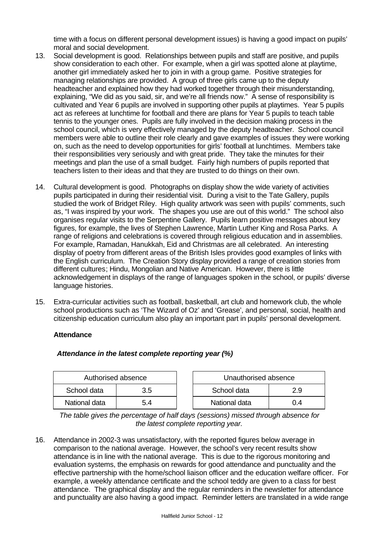time with a focus on different personal development issues) is having a good impact on pupils' moral and social development.

- 13. Social development is good. Relationships between pupils and staff are positive, and pupils show consideration to each other. For example, when a girl was spotted alone at playtime, another girl immediately asked her to join in with a group game. Positive strategies for managing relationships are provided. A group of three girls came up to the deputy headteacher and explained how they had worked together through their misunderstanding, explaining, "We did as you said, sir, and we're all friends now." A sense of responsibility is cultivated and Year 6 pupils are involved in supporting other pupils at playtimes. Year 5 pupils act as referees at lunchtime for football and there are plans for Year 5 pupils to teach table tennis to the younger ones. Pupils are fully involved in the decision making process in the school council, which is very effectively managed by the deputy headteacher. School council members were able to outline their role clearly and gave examples of issues they were working on, such as the need to develop opportunities for girls' football at lunchtimes. Members take their responsibilities very seriously and with great pride. They take the minutes for their meetings and plan the use of a small budget. Fairly high numbers of pupils reported that teachers listen to their ideas and that they are trusted to do things on their own.
- 14. Cultural development is good. Photographs on display show the wide variety of activities pupils participated in during their residential visit. During a visit to the Tate Gallery, pupils studied the work of Bridget Riley. High quality artwork was seen with pupils' comments, such as, "I was inspired by your work. The shapes you use are out of this world." The school also organises regular visits to the Serpentine Gallery. Pupils learn positive messages about key figures, for example, the lives of Stephen Lawrence, Martin Luther King and Rosa Parks. A range of religions and celebrations is covered through religious education and in assemblies. For example, Ramadan, Hanukkah, Eid and Christmas are all celebrated. An interesting display of poetry from different areas of the British Isles provides good examples of links with the English curriculum. The Creation Story display provided a range of creation stories from different cultures; Hindu, Mongolian and Native American. However, there is little acknowledgement in displays of the range of languages spoken in the school, or pupils' diverse language histories.
- 15. Extra-curricular activities such as football, basketball, art club and homework club, the whole school productions such as 'The Wizard of Oz' and 'Grease', and personal, social, health and citizenship education curriculum also play an important part in pupils' personal development.

#### **Attendance**

| Authorised absence |     | Unauthorised absence |     |
|--------------------|-----|----------------------|-----|
| School data        | 3.5 | School data          | 29  |
| National data      | 54  | National data        | N 4 |

# *Attendance in the latest complete reporting year (%)*

*The table gives the percentage of half days (sessions) missed through absence for the latest complete reporting year.*

16. Attendance in 2002-3 was unsatisfactory, with the reported figures below average in comparison to the national average. However, the school's very recent results show attendance is in line with the national average. This is due to the rigorous monitoring and evaluation systems, the emphasis on rewards for good attendance and punctuality and the effective partnership with the home/school liaison officer and the education welfare officer. For example, a weekly attendance certificate and the school teddy are given to a class for best attendance. The graphical display and the regular reminders in the newsletter for attendance and punctuality are also having a good impact. Reminder letters are translated in a wide range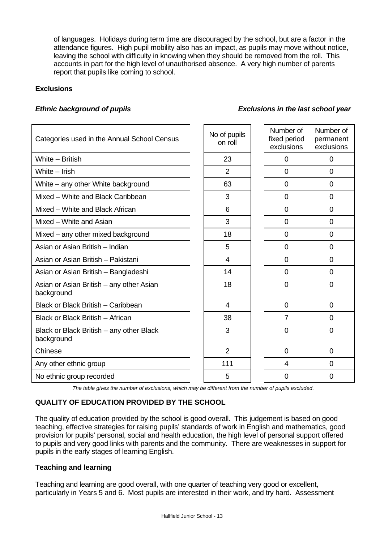of languages. Holidays during term time are discouraged by the school, but are a factor in the attendance figures. High pupil mobility also has an impact, as pupils may move without notice, leaving the school with difficulty in knowing when they should be removed from the roll. This accounts in part for the high level of unauthorised absence. A very high number of parents report that pupils like coming to school.

## **Exclusions**

| Categories used in the Annual School Census            | No of pupils<br>on roll | Number of<br>fixed period<br>exclusions | Number of<br>permanent<br>exclusions |
|--------------------------------------------------------|-------------------------|-----------------------------------------|--------------------------------------|
| White - British                                        | 23                      | $\Omega$                                | $\Omega$                             |
| White $-$ Irish                                        | $\overline{2}$          | 0                                       | 0                                    |
| White – any other White background                     | 63                      | 0                                       | 0                                    |
| Mixed - White and Black Caribbean                      | 3                       | 0                                       | $\mathbf 0$                          |
| Mixed - White and Black African                        | 6                       | 0                                       | $\mathbf 0$                          |
| Mixed - White and Asian                                | 3                       | 0                                       | $\mathbf 0$                          |
| Mixed - any other mixed background                     | 18                      | 0                                       | $\overline{0}$                       |
| Asian or Asian British - Indian                        | 5                       | 0                                       | $\overline{0}$                       |
| Asian or Asian British - Pakistani                     | 4                       | 0                                       | $\overline{0}$                       |
| Asian or Asian British - Bangladeshi                   | 14                      | $\overline{0}$                          | $\overline{0}$                       |
| Asian or Asian British – any other Asian<br>background | 18                      | 0                                       | $\mathbf 0$                          |
| Black or Black British - Caribbean                     | 4                       | 0                                       | $\mathbf 0$                          |
| Black or Black British - African                       | 38                      | $\overline{7}$                          | $\overline{0}$                       |
| Black or Black British – any other Black<br>background | 3                       | $\overline{0}$                          | $\overline{0}$                       |
| Chinese                                                | $\overline{2}$          | 0                                       | $\overline{0}$                       |
| Any other ethnic group                                 | 111                     | 4                                       | $\Omega$                             |
| No ethnic group recorded                               | 5                       | 0                                       | $\mathbf 0$                          |
|                                                        |                         |                                         |                                      |

*The table gives the number of exclusions, which may be different from the number of pupils excluded.*

# **QUALITY OF EDUCATION PROVIDED BY THE SCHOOL**

The quality of education provided by the school is good overall. This judgement is based on good teaching, effective strategies for raising pupils' standards of work in English and mathematics, good provision for pupils' personal, social and health education, the high level of personal support offered to pupils and very good links with parents and the community. There are weaknesses in support for pupils in the early stages of learning English.

#### **Teaching and learning**

Teaching and learning are good overall, with one quarter of teaching very good or excellent, particularly in Years 5 and 6. Most pupils are interested in their work, and try hard. Assessment

# *Ethnic background of pupils Exclusions in the last school year*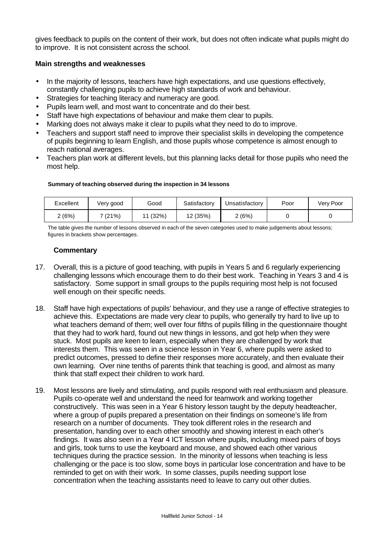gives feedback to pupils on the content of their work, but does not often indicate what pupils might do to improve. It is not consistent across the school.

#### **Main strengths and weaknesses**

- In the majority of lessons, teachers have high expectations, and use questions effectively, constantly challenging pupils to achieve high standards of work and behaviour.
- Strategies for teaching literacy and numeracy are good.
- Pupils learn well, and most want to concentrate and do their best.
- Staff have high expectations of behaviour and make them clear to pupils.
- Marking does not always make it clear to pupils what they need to do to improve.
- Teachers and support staff need to improve their specialist skills in developing the competence of pupils beginning to learn English, and those pupils whose competence is almost enough to reach national averages.
- Teachers plan work at different levels, but this planning lacks detail for those pupils who need the most help.

#### **Summary of teaching observed during the inspection in 34 lessons**

| Excellent | Very good | Good     | Satisfactory | Unsatisfactory | Poor | Very Poor |
|-----------|-----------|----------|--------------|----------------|------|-----------|
| 2(6%)     | 7 (21%)   | 11 (32%) | 12 (35%)     | 2(6%)          |      |           |

The table gives the number of lessons observed in each of the seven categories used to make judgements about lessons; figures in brackets show percentages.

- 17. Overall, this is a picture of good teaching, with pupils in Years 5 and 6 regularly experiencing challenging lessons which encourage them to do their best work. Teaching in Years 3 and 4 is satisfactory. Some support in small groups to the pupils requiring most help is not focused well enough on their specific needs.
- 18. Staff have high expectations of pupils' behaviour, and they use a range of effective strategies to achieve this. Expectations are made very clear to pupils, who generally try hard to live up to what teachers demand of them; well over four fifths of pupils filling in the questionnaire thought that they had to work hard, found out new things in lessons, and got help when they were stuck. Most pupils are keen to learn, especially when they are challenged by work that interests them. This was seen in a science lesson in Year 6, where pupils were asked to predict outcomes, pressed to define their responses more accurately, and then evaluate their own learning. Over nine tenths of parents think that teaching is good, and almost as many think that staff expect their children to work hard.
- 19. Most lessons are lively and stimulating, and pupils respond with real enthusiasm and pleasure. Pupils co-operate well and understand the need for teamwork and working together constructively. This was seen in a Year 6 history lesson taught by the deputy headteacher, where a group of pupils prepared a presentation on their findings on someone's life from research on a number of documents. They took different roles in the research and presentation, handing over to each other smoothly and showing interest in each other's findings. It was also seen in a Year 4 ICT lesson where pupils, including mixed pairs of boys and girls, took turns to use the keyboard and mouse, and showed each other various techniques during the practice session. In the minority of lessons when teaching is less challenging or the pace is too slow, some boys in particular lose concentration and have to be reminded to get on with their work. In some classes, pupils needing support lose concentration when the teaching assistants need to leave to carry out other duties.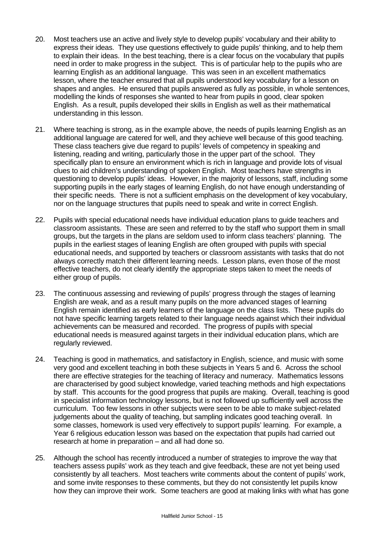- 20. Most teachers use an active and lively style to develop pupils' vocabulary and their ability to express their ideas. They use questions effectively to guide pupils' thinking, and to help them to explain their ideas. In the best teaching, there is a clear focus on the vocabulary that pupils need in order to make progress in the subject. This is of particular help to the pupils who are learning English as an additional language. This was seen in an excellent mathematics lesson, where the teacher ensured that all pupils understood key vocabulary for a lesson on shapes and angles. He ensured that pupils answered as fully as possible, in whole sentences, modelling the kinds of responses she wanted to hear from pupils in good, clear spoken English. As a result, pupils developed their skills in English as well as their mathematical understanding in this lesson.
- 21. Where teaching is strong, as in the example above, the needs of pupils learning English as an additional language are catered for well, and they achieve well because of this good teaching. These class teachers give due regard to pupils' levels of competency in speaking and listening, reading and writing, particularly those in the upper part of the school. They specifically plan to ensure an environment which is rich in language and provide lots of visual clues to aid children's understanding of spoken English. Most teachers have strengths in questioning to develop pupils' ideas. However, in the majority of lessons, staff, including some supporting pupils in the early stages of learning English, do not have enough understanding of their specific needs. There is not a sufficient emphasis on the development of key vocabulary, nor on the language structures that pupils need to speak and write in correct English.
- 22. Pupils with special educational needs have individual education plans to guide teachers and classroom assistants. These are seen and referred to by the staff who support them in small groups, but the targets in the plans are seldom used to inform class teachers' planning. The pupils in the earliest stages of leaning English are often grouped with pupils with special educational needs, and supported by teachers or classroom assistants with tasks that do not always correctly match their different learning needs. Lesson plans, even those of the most effective teachers, do not clearly identify the appropriate steps taken to meet the needs of either group of pupils.
- 23. The continuous assessing and reviewing of pupils' progress through the stages of learning English are weak, and as a result many pupils on the more advanced stages of learning English remain identified as early learners of the language on the class lists. These pupils do not have specific learning targets related to their language needs against which their individual achievements can be measured and recorded. The progress of pupils with special educational needs is measured against targets in their individual education plans, which are regularly reviewed.
- 24. Teaching is good in mathematics, and satisfactory in English, science, and music with some very good and excellent teaching in both these subjects in Years 5 and 6. Across the school there are effective strategies for the teaching of literacy and numeracy. Mathematics lessons are characterised by good subject knowledge, varied teaching methods and high expectations by staff. This accounts for the good progress that pupils are making. Overall, teaching is good in specialist information technology lessons, but is not followed up sufficiently well across the curriculum. Too few lessons in other subjects were seen to be able to make subject-related judgements about the quality of teaching, but sampling indicates good teaching overall. In some classes, homework is used very effectively to support pupils' learning. For example, a Year 6 religious education lesson was based on the expectation that pupils had carried out research at home in preparation – and all had done so.
- 25. Although the school has recently introduced a number of strategies to improve the way that teachers assess pupils' work as they teach and give feedback, these are not yet being used consistently by all teachers. Most teachers write comments about the content of pupils' work, and some invite responses to these comments, but they do not consistently let pupils know how they can improve their work. Some teachers are good at making links with what has gone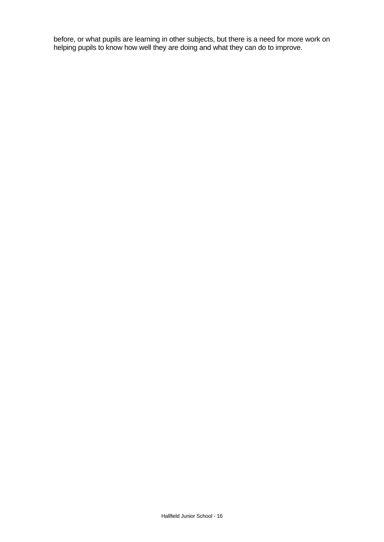before, or what pupils are learning in other subjects, but there is a need for more work on helping pupils to know how well they are doing and what they can do to improve.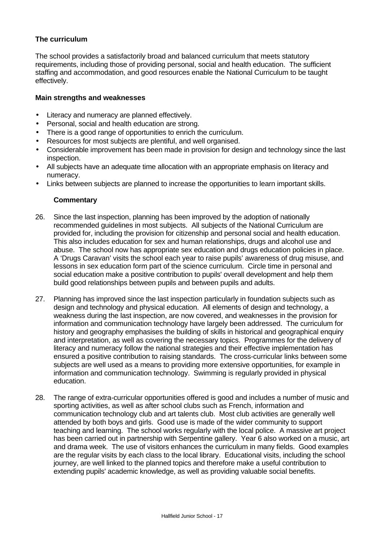# **The curriculum**

The school provides a satisfactorily broad and balanced curriculum that meets statutory requirements, including those of providing personal, social and health education. The sufficient staffing and accommodation, and good resources enable the National Curriculum to be taught effectively.

#### **Main strengths and weaknesses**

- Literacy and numeracy are planned effectively.
- Personal, social and health education are strong.
- There is a good range of opportunities to enrich the curriculum.
- Resources for most subjects are plentiful, and well organised.
- Considerable improvement has been made in provision for design and technology since the last inspection.
- All subjects have an adequate time allocation with an appropriate emphasis on literacy and numeracy.
- Links between subjects are planned to increase the opportunities to learn important skills.

- 26. Since the last inspection, planning has been improved by the adoption of nationally recommended guidelines in most subjects. All subjects of the National Curriculum are provided for, including the provision for citizenship and personal social and health education. This also includes education for sex and human relationships, drugs and alcohol use and abuse. The school now has appropriate sex education and drugs education policies in place. A 'Drugs Caravan' visits the school each year to raise pupils' awareness of drug misuse, and lessons in sex education form part of the science curriculum. Circle time in personal and social education make a positive contribution to pupils' overall development and help them build good relationships between pupils and between pupils and adults.
- 27. Planning has improved since the last inspection particularly in foundation subjects such as design and technology and physical education. All elements of design and technology, a weakness during the last inspection, are now covered, and weaknesses in the provision for information and communication technology have largely been addressed. The curriculum for history and geography emphasises the building of skills in historical and geographical enquiry and interpretation, as well as covering the necessary topics. Programmes for the delivery of literacy and numeracy follow the national strategies and their effective implementation has ensured a positive contribution to raising standards. The cross-curricular links between some subjects are well used as a means to providing more extensive opportunities, for example in information and communication technology. Swimming is regularly provided in physical education.
- 28. The range of extra-curricular opportunities offered is good and includes a number of music and sporting activities, as well as after school clubs such as French, information and communication technology club and art talents club. Most club activities are generally well attended by both boys and girls. Good use is made of the wider community to support teaching and learning. The school works regularly with the local police. A massive art project has been carried out in partnership with Serpentine gallery. Year 6 also worked on a music, art and drama week. The use of visitors enhances the curriculum in many fields. Good examples are the regular visits by each class to the local library. Educational visits, including the school journey, are well linked to the planned topics and therefore make a useful contribution to extending pupils' academic knowledge, as well as providing valuable social benefits.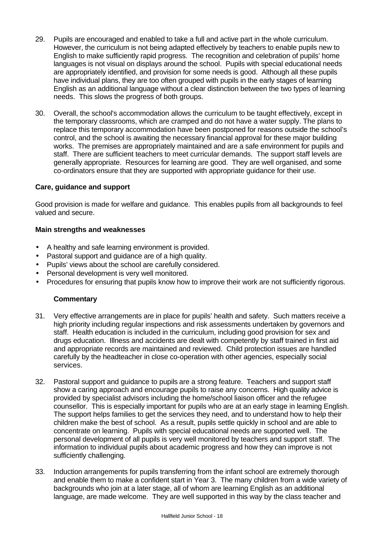- 29. Pupils are encouraged and enabled to take a full and active part in the whole curriculum. However, the curriculum is not being adapted effectively by teachers to enable pupils new to English to make sufficiently rapid progress. The recognition and celebration of pupils' home languages is not visual on displays around the school. Pupils with special educational needs are appropriately identified, and provision for some needs is good. Although all these pupils have individual plans, they are too often grouped with pupils in the early stages of learning English as an additional language without a clear distinction between the two types of learning needs. This slows the progress of both groups.
- 30. Overall, the school's accommodation allows the curriculum to be taught effectively, except in the temporary classrooms, which are cramped and do not have a water supply. The plans to replace this temporary accommodation have been postponed for reasons outside the school's control, and the school is awaiting the necessary financial approval for these major building works. The premises are appropriately maintained and are a safe environment for pupils and staff. There are sufficient teachers to meet curricular demands. The support staff levels are generally appropriate. Resources for learning are good. They are well organised, and some co-ordinators ensure that they are supported with appropriate guidance for their use.

#### **Care, guidance and support**

Good provision is made for welfare and guidance. This enables pupils from all backgrounds to feel valued and secure.

#### **Main strengths and weaknesses**

- A healthy and safe learning environment is provided.
- Pastoral support and guidance are of a high quality.
- Pupils' views about the school are carefully considered.
- Personal development is very well monitored.
- Procedures for ensuring that pupils know how to improve their work are not sufficiently rigorous.

- 31. Very effective arrangements are in place for pupils' health and safety. Such matters receive a high priority including regular inspections and risk assessments undertaken by governors and staff. Health education is included in the curriculum, including good provision for sex and drugs education. Illness and accidents are dealt with competently by staff trained in first aid and appropriate records are maintained and reviewed. Child protection issues are handled carefully by the headteacher in close co-operation with other agencies, especially social services.
- 32. Pastoral support and guidance to pupils are a strong feature. Teachers and support staff show a caring approach and encourage pupils to raise any concerns. High quality advice is provided by specialist advisors including the home/school liaison officer and the refugee counsellor. This is especially important for pupils who are at an early stage in learning English. The support helps families to get the services they need, and to understand how to help their children make the best of school. As a result, pupils settle quickly in school and are able to concentrate on learning. Pupils with special educational needs are supported well. The personal development of all pupils is very well monitored by teachers and support staff. The information to individual pupils about academic progress and how they can improve is not sufficiently challenging.
- 33. Induction arrangements for pupils transferring from the infant school are extremely thorough and enable them to make a confident start in Year 3. The many children from a wide variety of backgrounds who join at a later stage, all of whom are learning English as an additional language, are made welcome. They are well supported in this way by the class teacher and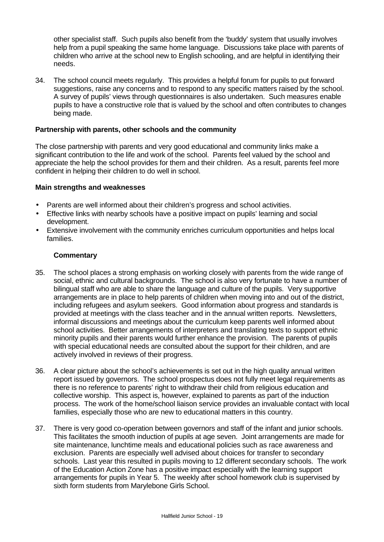other specialist staff. Such pupils also benefit from the 'buddy' system that usually involves help from a pupil speaking the same home language. Discussions take place with parents of children who arrive at the school new to English schooling, and are helpful in identifying their needs.

34. The school council meets regularly. This provides a helpful forum for pupils to put forward suggestions, raise any concerns and to respond to any specific matters raised by the school. A survey of pupils' views through questionnaires is also undertaken. Such measures enable pupils to have a constructive role that is valued by the school and often contributes to changes being made.

#### **Partnership with parents, other schools and the community**

The close partnership with parents and very good educational and community links make a significant contribution to the life and work of the school. Parents feel valued by the school and appreciate the help the school provides for them and their children. As a result, parents feel more confident in helping their children to do well in school.

#### **Main strengths and weaknesses**

- Parents are well informed about their children's progress and school activities.
- Effective links with nearby schools have a positive impact on pupils' learning and social development.
- Extensive involvement with the community enriches curriculum opportunities and helps local families.

- 35. The school places a strong emphasis on working closely with parents from the wide range of social, ethnic and cultural backgrounds. The school is also very fortunate to have a number of bilingual staff who are able to share the language and culture of the pupils. Very supportive arrangements are in place to help parents of children when moving into and out of the district, including refugees and asylum seekers. Good information about progress and standards is provided at meetings with the class teacher and in the annual written reports. Newsletters, informal discussions and meetings about the curriculum keep parents well informed about school activities. Better arrangements of interpreters and translating texts to support ethnic minority pupils and their parents would further enhance the provision. The parents of pupils with special educational needs are consulted about the support for their children, and are actively involved in reviews of their progress.
- 36. A clear picture about the school's achievements is set out in the high quality annual written report issued by governors. The school prospectus does not fully meet legal requirements as there is no reference to parents' right to withdraw their child from religious education and collective worship. This aspect is, however, explained to parents as part of the induction process. The work of the home/school liaison service provides an invaluable contact with local families, especially those who are new to educational matters in this country.
- 37. There is very good co-operation between governors and staff of the infant and junior schools. This facilitates the smooth induction of pupils at age seven. Joint arrangements are made for site maintenance, lunchtime meals and educational policies such as race awareness and exclusion. Parents are especially well advised about choices for transfer to secondary schools. Last year this resulted in pupils moving to 12 different secondary schools. The work of the Education Action Zone has a positive impact especially with the learning support arrangements for pupils in Year 5. The weekly after school homework club is supervised by sixth form students from Marylebone Girls School.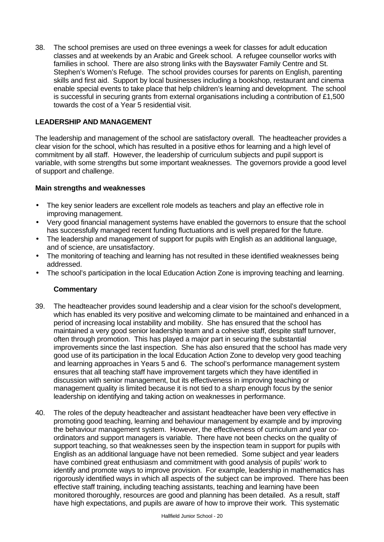38. The school premises are used on three evenings a week for classes for adult education classes and at weekends by an Arabic and Greek school. A refugee counsellor works with families in school. There are also strong links with the Bayswater Family Centre and St. Stephen's Women's Refuge. The school provides courses for parents on English, parenting skills and first aid. Support by local businesses including a bookshop, restaurant and cinema enable special events to take place that help children's learning and development. The school is successful in securing grants from external organisations including a contribution of £1,500 towards the cost of a Year 5 residential visit.

# **LEADERSHIP AND MANAGEMENT**

The leadership and management of the school are satisfactory overall. The headteacher provides a clear vision for the school, which has resulted in a positive ethos for learning and a high level of commitment by all staff. However, the leadership of curriculum subjects and pupil support is variable, with some strengths but some important weaknesses. The governors provide a good level of support and challenge.

#### **Main strengths and weaknesses**

- The key senior leaders are excellent role models as teachers and play an effective role in improving management.
- Very good financial management systems have enabled the governors to ensure that the school has successfully managed recent funding fluctuations and is well prepared for the future.
- The leadership and management of support for pupils with English as an additional language, and of science, are unsatisfactory.
- The monitoring of teaching and learning has not resulted in these identified weaknesses being addressed.
- The school's participation in the local Education Action Zone is improving teaching and learning.

- 39. The headteacher provides sound leadership and a clear vision for the school's development, which has enabled its very positive and welcoming climate to be maintained and enhanced in a period of increasing local instability and mobility. She has ensured that the school has maintained a very good senior leadership team and a cohesive staff, despite staff turnover, often through promotion. This has played a major part in securing the substantial improvements since the last inspection. She has also ensured that the school has made very good use of its participation in the local Education Action Zone to develop very good teaching and learning approaches in Years 5 and 6. The school's performance management system ensures that all teaching staff have improvement targets which they have identified in discussion with senior management, but its effectiveness in improving teaching or management quality is limited because it is not tied to a sharp enough focus by the senior leadership on identifying and taking action on weaknesses in performance.
- 40. The roles of the deputy headteacher and assistant headteacher have been very effective in promoting good teaching, learning and behaviour management by example and by improving the behaviour management system. However, the effectiveness of curriculum and year coordinators and support managers is variable. There have not been checks on the quality of support teaching, so that weaknesses seen by the inspection team in support for pupils with English as an additional language have not been remedied. Some subject and year leaders have combined great enthusiasm and commitment with good analysis of pupils' work to identify and promote ways to improve provision. For example, leadership in mathematics has rigorously identified ways in which all aspects of the subject can be improved. There has been effective staff training, including teaching assistants, teaching and learning have been monitored thoroughly, resources are good and planning has been detailed. As a result, staff have high expectations, and pupils are aware of how to improve their work. This systematic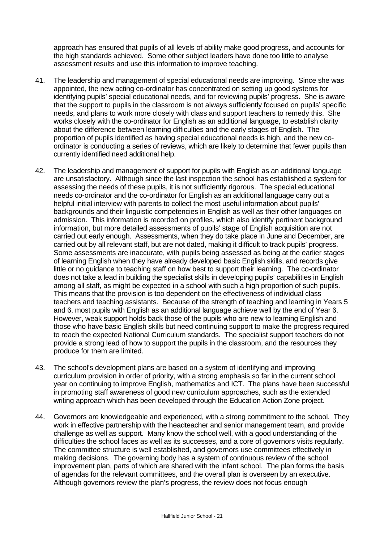approach has ensured that pupils of all levels of ability make good progress, and accounts for the high standards achieved. Some other subject leaders have done too little to analyse assessment results and use this information to improve teaching.

- 41. The leadership and management of special educational needs are improving. Since she was appointed, the new acting co-ordinator has concentrated on setting up good systems for identifying pupils' special educational needs, and for reviewing pupils' progress. She is aware that the support to pupils in the classroom is not always sufficiently focused on pupils' specific needs, and plans to work more closely with class and support teachers to remedy this. She works closely with the co-ordinator for English as an additional language, to establish clarity about the difference between learning difficulties and the early stages of English. The proportion of pupils identified as having special educational needs is high, and the new coordinator is conducting a series of reviews, which are likely to determine that fewer pupils than currently identified need additional help.
- 42. The leadership and management of support for pupils with English as an additional language are unsatisfactory. Although since the last inspection the school has established a system for assessing the needs of these pupils, it is not sufficiently rigorous. The special educational needs co-ordinator and the co-ordinator for English as an additional language carry out a helpful initial interview with parents to collect the most useful information about pupils' backgrounds and their linguistic competencies in English as well as their other languages on admission. This information is recorded on profiles, which also identify pertinent background information, but more detailed assessments of pupils' stage of English acquisition are not carried out early enough. Assessments, when they do take place in June and December, are carried out by all relevant staff, but are not dated, making it difficult to track pupils' progress. Some assessments are inaccurate, with pupils being assessed as being at the earlier stages of learning English when they have already developed basic English skills, and records give little or no guidance to teaching staff on how best to support their learning. The co-ordinator does not take a lead in building the specialist skills in developing pupils' capabilities in English among all staff, as might be expected in a school with such a high proportion of such pupils. This means that the provision is too dependent on the effectiveness of individual class teachers and teaching assistants. Because of the strength of teaching and learning in Years 5 and 6, most pupils with English as an additional language achieve well by the end of Year 6. However, weak support holds back those of the pupils who are new to learning English and those who have basic English skills but need continuing support to make the progress required to reach the expected National Curriculum standards. The specialist support teachers do not provide a strong lead of how to support the pupils in the classroom, and the resources they produce for them are limited.
- 43. The school's development plans are based on a system of identifying and improving curriculum provision in order of priority, with a strong emphasis so far in the current school year on continuing to improve English, mathematics and ICT. The plans have been successful in promoting staff awareness of good new curriculum approaches, such as the extended writing approach which has been developed through the Education Action Zone project.
- 44. Governors are knowledgeable and experienced, with a strong commitment to the school. They work in effective partnership with the headteacher and senior management team, and provide challenge as well as support. Many know the school well, with a good understanding of the difficulties the school faces as well as its successes, and a core of governors visits regularly. The committee structure is well established, and governors use committees effectively in making decisions. The governing body has a system of continuous review of the school improvement plan, parts of which are shared with the infant school. The plan forms the basis of agendas for the relevant committees, and the overall plan is overseen by an executive. Although governors review the plan's progress, the review does not focus enough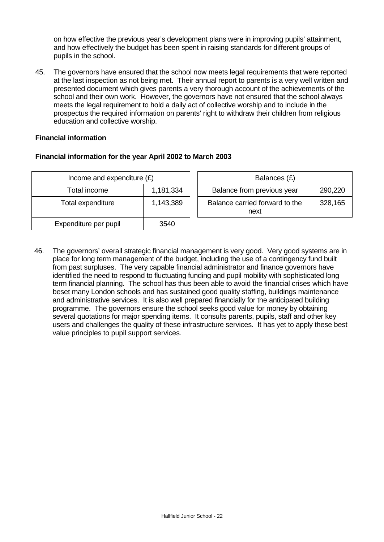on how effective the previous year's development plans were in improving pupils' attainment, and how effectively the budget has been spent in raising standards for different groups of pupils in the school.

45. The governors have ensured that the school now meets legal requirements that were reported at the last inspection as not being met. Their annual report to parents is a very well written and presented document which gives parents a very thorough account of the achievements of the school and their own work. However, the governors have not ensured that the school always meets the legal requirement to hold a daily act of collective worship and to include in the prospectus the required information on parents' right to withdraw their children from religious education and collective worship.

# **Financial information**

# **Financial information for the year April 2002 to March 2003**

| Income and expenditure $(E)$ |           |  | Balances (£)                           |         |
|------------------------------|-----------|--|----------------------------------------|---------|
| Total income                 | 1,181,334 |  | Balance from previous year             | 290,220 |
| Total expenditure            | 1,143,389 |  | Balance carried forward to the<br>next | 328,165 |
| Expenditure per pupil        | 3540      |  |                                        |         |

46. The governors' overall strategic financial management is very good. Very good systems are in place for long term management of the budget, including the use of a contingency fund built from past surpluses. The very capable financial administrator and finance governors have identified the need to respond to fluctuating funding and pupil mobility with sophisticated long term financial planning. The school has thus been able to avoid the financial crises which have beset many London schools and has sustained good quality staffing, buildings maintenance and administrative services. It is also well prepared financially for the anticipated building programme. The governors ensure the school seeks good value for money by obtaining several quotations for major spending items. It consults parents, pupils, staff and other key users and challenges the quality of these infrastructure services. It has yet to apply these best value principles to pupil support services.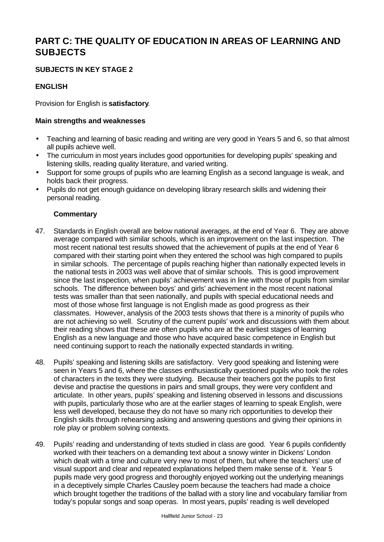# **PART C: THE QUALITY OF EDUCATION IN AREAS OF LEARNING AND SUBJECTS**

# **SUBJECTS IN KEY STAGE 2**

# **ENGLISH**

Provision for English is **satisfactory**.

## **Main strengths and weaknesses**

- Teaching and learning of basic reading and writing are very good in Years 5 and 6, so that almost all pupils achieve well.
- The curriculum in most years includes good opportunities for developing pupils' speaking and listening skills, reading quality literature, and varied writing.
- Support for some groups of pupils who are learning English as a second language is weak, and holds back their progress.
- Pupils do not get enough guidance on developing library research skills and widening their personal reading.

- 47. Standards in English overall are below national averages, at the end of Year 6. They are above average compared with similar schools, which is an improvement on the last inspection. The most recent national test results showed that the achievement of pupils at the end of Year 6 compared with their starting point when they entered the school was high compared to pupils in similar schools. The percentage of pupils reaching higher than nationally expected levels in the national tests in 2003 was well above that of similar schools. This is good improvement since the last inspection, when pupils' achievement was in line with those of pupils from similar schools. The difference between boys' and girls' achievement in the most recent national tests was smaller than that seen nationally, and pupils with special educational needs and most of those whose first language is not English made as good progress as their classmates. However, analysis of the 2003 tests shows that there is a minority of pupils who are not achieving so well. Scrutiny of the current pupils' work and discussions with them about their reading shows that these are often pupils who are at the earliest stages of learning English as a new language and those who have acquired basic competence in English but need continuing support to reach the nationally expected standards in writing.
- 48. Pupils' speaking and listening skills are satisfactory. Very good speaking and listening were seen in Years 5 and 6, where the classes enthusiastically questioned pupils who took the roles of characters in the texts they were studying. Because their teachers got the pupils to first devise and practise the questions in pairs and small groups, they were very confident and articulate. In other years, pupils' speaking and listening observed in lessons and discussions with pupils, particularly those who are at the earlier stages of learning to speak English, were less well developed, because they do not have so many rich opportunities to develop their English skills through rehearsing asking and answering questions and giving their opinions in role play or problem solving contexts.
- 49. Pupils' reading and understanding of texts studied in class are good. Year 6 pupils confidently worked with their teachers on a demanding text about a snowy winter in Dickens' London which dealt with a time and culture very new to most of them, but where the teachers' use of visual support and clear and repeated explanations helped them make sense of it. Year 5 pupils made very good progress and thoroughly enjoyed working out the underlying meanings in a deceptively simple Charles Causley poem because the teachers had made a choice which brought together the traditions of the ballad with a story line and vocabulary familiar from today's popular songs and soap operas. In most years, pupils' reading is well developed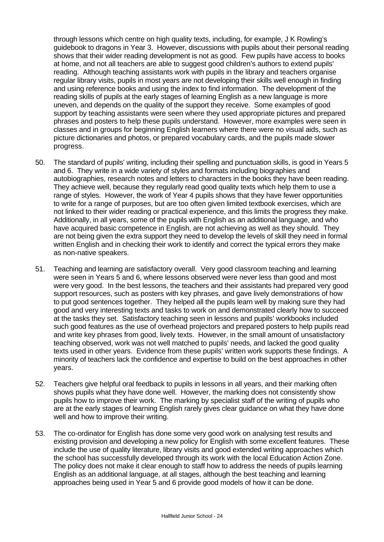through lessons which centre on high quality texts, including, for example, J K Rowling's guidebook to dragons in Year 3. However, discussions with pupils about their personal reading shows that their wider reading development is not as good. Few pupils have access to books at home, and not all teachers are able to suggest good children's authors to extend pupils' reading. Although teaching assistants work with pupils in the library and teachers organise regular library visits, pupils in most years are not developing their skills well enough in finding and using reference books and using the index to find information. The development of the reading skills of pupils at the early stages of learning English as a new language is more uneven, and depends on the quality of the support they receive. Some examples of good support by teaching assistants were seen where they used appropriate pictures and prepared phrases and posters to help these pupils understand. However, more examples were seen in classes and in groups for beginning English learners where there were no visual aids, such as picture dictionaries and photos, or prepared vocabulary cards, and the pupils made slower progress.

- 50. The standard of pupils' writing, including their spelling and punctuation skills, is good in Years 5 and 6. They write in a wide variety of styles and formats including biographies and autobiographies, research notes and letters to characters in the books they have been reading. They achieve well, because they regularly read good quality texts which help them to use a range of styles. However, the work of Year 4 pupils shows that they have fewer opportunities to write for a range of purposes, but are too often given limited textbook exercises, which are not linked to their wider reading or practical experience, and this limits the progress they make. Additionally, in all years, some of the pupils with English as an additional language, and who have acquired basic competence in English, are not achieving as well as they should. They are not being given the extra support they need to develop the levels of skill they need in formal written English and in checking their work to identify and correct the typical errors they make as non-native speakers.
- 51. Teaching and learning are satisfactory overall. Very good classroom teaching and learning were seen in Years 5 and 6, where lessons observed were never less than good and most were very good. In the best lessons, the teachers and their assistants had prepared very good support resources, such as posters with key phrases, and gave lively demonstrations of how to put good sentences together. They helped all the pupils learn well by making sure they had good and very interesting texts and tasks to work on and demonstrated clearly how to succeed at the tasks they set. Satisfactory teaching seen in lessons and pupils' workbooks included such good features as the use of overhead projectors and prepared posters to help pupils read and write key phrases from good, lively texts. However, in the small amount of unsatisfactory teaching observed, work was not well matched to pupils' needs, and lacked the good quality texts used in other years. Evidence from these pupils' written work supports these findings. A minority of teachers lack the confidence and expertise to build on the best approaches in other years.
- 52. Teachers give helpful oral feedback to pupils in lessons in all years, and their marking often shows pupils what they have done well. However, the marking does not consistently show pupils how to improve their work. The marking by specialist staff of the writing of pupils who are at the early stages of learning English rarely gives clear guidance on what they have done well and how to improve their writing.
- 53. The co-ordinator for English has done some very good work on analysing test results and existing provision and developing a new policy for English with some excellent features. These include the use of quality literature, library visits and good extended writing approaches which the school has successfully developed through its work with the local Education Action Zone. The policy does not make it clear enough to staff how to address the needs of pupils learning English as an additional language, at all stages, although the best teaching and learning approaches being used in Year 5 and 6 provide good models of how it can be done.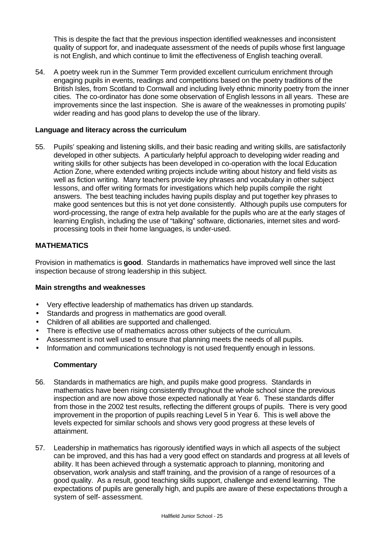This is despite the fact that the previous inspection identified weaknesses and inconsistent quality of support for, and inadequate assessment of the needs of pupils whose first language is not English, and which continue to limit the effectiveness of English teaching overall.

54. A poetry week run in the Summer Term provided excellent curriculum enrichment through engaging pupils in events, readings and competitions based on the poetry traditions of the British Isles, from Scotland to Cornwall and including lively ethnic minority poetry from the inner cities. The co-ordinator has done some observation of English lessons in all years. These are improvements since the last inspection. She is aware of the weaknesses in promoting pupils' wider reading and has good plans to develop the use of the library.

#### **Language and literacy across the curriculum**

55. Pupils' speaking and listening skills, and their basic reading and writing skills, are satisfactorily developed in other subjects. A particularly helpful approach to developing wider reading and writing skills for other subjects has been developed in co-operation with the local Education Action Zone, where extended writing projects include writing about history and field visits as well as fiction writing. Many teachers provide key phrases and vocabulary in other subject lessons, and offer writing formats for investigations which help pupils compile the right answers. The best teaching includes having pupils display and put together key phrases to make good sentences but this is not yet done consistently. Although pupils use computers for word-processing, the range of extra help available for the pupils who are at the early stages of learning English, including the use of "talking" software, dictionaries, internet sites and wordprocessing tools in their home languages, is under-used.

## **MATHEMATICS**

Provision in mathematics is **good**. Standards in mathematics have improved well since the last inspection because of strong leadership in this subject.

#### **Main strengths and weaknesses**

- Very effective leadership of mathematics has driven up standards.
- Standards and progress in mathematics are good overall.
- Children of all abilities are supported and challenged.
- There is effective use of mathematics across other subjects of the curriculum.
- Assessment is not well used to ensure that planning meets the needs of all pupils.
- Information and communications technology is not used frequently enough in lessons.

- 56. Standards in mathematics are high, and pupils make good progress. Standards in mathematics have been rising consistently throughout the whole school since the previous inspection and are now above those expected nationally at Year 6. These standards differ from those in the 2002 test results, reflecting the different groups of pupils. There is very good improvement in the proportion of pupils reaching Level 5 in Year 6. This is well above the levels expected for similar schools and shows very good progress at these levels of attainment.
- 57. Leadership in mathematics has rigorously identified ways in which all aspects of the subject can be improved, and this has had a very good effect on standards and progress at all levels of ability. It has been achieved through a systematic approach to planning, monitoring and observation, work analysis and staff training, and the provision of a range of resources of a good quality. As a result, good teaching skills support, challenge and extend learning. The expectations of pupils are generally high, and pupils are aware of these expectations through a system of self- assessment.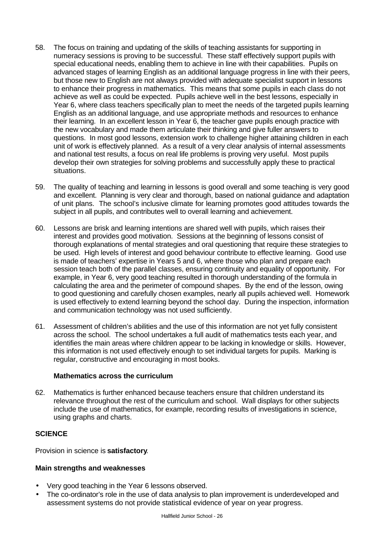- 58. The focus on training and updating of the skills of teaching assistants for supporting in numeracy sessions is proving to be successful. These staff effectively support pupils with special educational needs, enabling them to achieve in line with their capabilities. Pupils on advanced stages of learning English as an additional language progress in line with their peers, but those new to English are not always provided with adequate specialist support in lessons to enhance their progress in mathematics. This means that some pupils in each class do not achieve as well as could be expected. Pupils achieve well in the best lessons, especially in Year 6, where class teachers specifically plan to meet the needs of the targeted pupils learning English as an additional language, and use appropriate methods and resources to enhance their learning. In an excellent lesson in Year 6, the teacher gave pupils enough practice with the new vocabulary and made them articulate their thinking and give fuller answers to questions. In most good lessons, extension work to challenge higher attaining children in each unit of work is effectively planned. As a result of a very clear analysis of internal assessments and national test results, a focus on real life problems is proving very useful. Most pupils develop their own strategies for solving problems and successfully apply these to practical situations.
- 59. The quality of teaching and learning in lessons is good overall and some teaching is very good and excellent. Planning is very clear and thorough, based on national guidance and adaptation of unit plans. The school's inclusive climate for learning promotes good attitudes towards the subject in all pupils, and contributes well to overall learning and achievement.
- 60. Lessons are brisk and learning intentions are shared well with pupils, which raises their interest and provides good motivation. Sessions at the beginning of lessons consist of thorough explanations of mental strategies and oral questioning that require these strategies to be used. High levels of interest and good behaviour contribute to effective learning. Good use is made of teachers' expertise in Years 5 and 6, where those who plan and prepare each session teach both of the parallel classes, ensuring continuity and equality of opportunity. For example, in Year 6, very good teaching resulted in thorough understanding of the formula in calculating the area and the perimeter of compound shapes. By the end of the lesson, owing to good questioning and carefully chosen examples, nearly all pupils achieved well. Homework is used effectively to extend learning beyond the school day. During the inspection, information and communication technology was not used sufficiently.
- 61. Assessment of children's abilities and the use of this information are not yet fully consistent across the school. The school undertakes a full audit of mathematics tests each year, and identifies the main areas where children appear to be lacking in knowledge or skills. However, this information is not used effectively enough to set individual targets for pupils. Marking is regular, constructive and encouraging in most books.

#### **Mathematics across the curriculum**

62. Mathematics is further enhanced because teachers ensure that children understand its relevance throughout the rest of the curriculum and school. Wall displays for other subjects include the use of mathematics, for example, recording results of investigations in science, using graphs and charts.

# **SCIENCE**

Provision in science is **satisfactory**.

#### **Main strengths and weaknesses**

- Very good teaching in the Year 6 lessons observed.
- The co-ordinator's role in the use of data analysis to plan improvement is underdeveloped and assessment systems do not provide statistical evidence of year on year progress.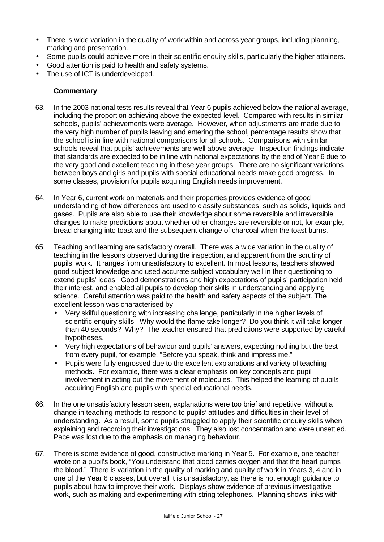- There is wide variation in the quality of work within and across year groups, including planning, marking and presentation.
- Some pupils could achieve more in their scientific enquiry skills, particularly the higher attainers.
- Good attention is paid to health and safety systems.
- The use of ICT is underdeveloped.

- 63. In the 2003 national tests results reveal that Year 6 pupils achieved below the national average, including the proportion achieving above the expected level. Compared with results in similar schools, pupils' achievements were average. However, when adjustments are made due to the very high number of pupils leaving and entering the school, percentage results show that the school is in line with national comparisons for all schools. Comparisons with similar schools reveal that pupils' achievements are well above average. Inspection findings indicate that standards are expected to be in line with national expectations by the end of Year 6 due to the very good and excellent teaching in these year groups. There are no significant variations between boys and girls and pupils with special educational needs make good progress. In some classes, provision for pupils acquiring English needs improvement.
- 64. In Year 6, current work on materials and their properties provides evidence of good understanding of how differences are used to classify substances, such as solids, liquids and gases. Pupils are also able to use their knowledge about some reversible and irreversible changes to make predictions about whether other changes are reversible or not, for example, bread changing into toast and the subsequent change of charcoal when the toast burns.
- 65. Teaching and learning are satisfactory overall. There was a wide variation in the quality of teaching in the lessons observed during the inspection, and apparent from the scrutiny of pupils' work. It ranges from unsatisfactory to excellent. In most lessons, teachers showed good subject knowledge and used accurate subject vocabulary well in their questioning to extend pupils' ideas. Good demonstrations and high expectations of pupils' participation held their interest, and enabled all pupils to develop their skills in understanding and applying science. Careful attention was paid to the health and safety aspects of the subject. The excellent lesson was characterised by:
	- Very skilful questioning with increasing challenge, particularly in the higher levels of scientific enquiry skills. Why would the flame take longer? Do you think it will take longer than 40 seconds? Why? The teacher ensured that predictions were supported by careful hypotheses.
	- Very high expectations of behaviour and pupils' answers, expecting nothing but the best from every pupil, for example, "Before you speak, think and impress me."
	- Pupils were fully engrossed due to the excellent explanations and variety of teaching methods. For example, there was a clear emphasis on key concepts and pupil involvement in acting out the movement of molecules. This helped the learning of pupils acquiring English and pupils with special educational needs.
- 66. In the one unsatisfactory lesson seen, explanations were too brief and repetitive, without a change in teaching methods to respond to pupils' attitudes and difficulties in their level of understanding. As a result, some pupils struggled to apply their scientific enquiry skills when explaining and recording their investigations. They also lost concentration and were unsettled. Pace was lost due to the emphasis on managing behaviour.
- 67. There is some evidence of good, constructive marking in Year 5. For example, one teacher wrote on a pupil's book, "You understand that blood carries oxygen and that the heart pumps the blood." There is variation in the quality of marking and quality of work in Years 3, 4 and in one of the Year 6 classes, but overall it is unsatisfactory, as there is not enough guidance to pupils about how to improve their work. Displays show evidence of previous investigative work, such as making and experimenting with string telephones. Planning shows links with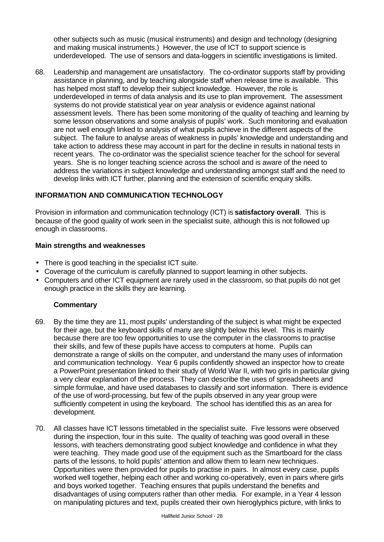other subjects such as music (musical instruments) and design and technology (designing and making musical instruments.) However, the use of ICT to support science is underdeveloped. The use of sensors and data-loggers in scientific investigations is limited.

68. Leadership and management are unsatisfactory. The co-ordinator supports staff by providing assistance in planning, and by teaching alongside staff when release time is available. This has helped most staff to develop their subject knowledge. However, the role is underdeveloped in terms of data analysis and its use to plan improvement. The assessment systems do not provide statistical year on year analysis or evidence against national assessment levels. There has been some monitoring of the quality of teaching and learning by some lesson observations and some analysis of pupils' work. Such monitoring and evaluation are not well enough linked to analysis of what pupils achieve in the different aspects of the subject. The failure to analyse areas of weakness in pupils' knowledge and understanding and take action to address these may account in part for the decline in results in national tests in recent years. The co-ordinator was the specialist science teacher for the school for several years. She is no longer teaching science across the school and is aware of the need to address the variations in subject knowledge and understanding amongst staff and the need to develop links with ICT further, planning and the extension of scientific enquiry skills.

# **INFORMATION AND COMMUNICATION TECHNOLOGY**

Provision in information and communication technology (ICT) is **satisfactory overall**. This is because of the good quality of work seen in the specialist suite, although this is not followed up enough in classrooms.

#### **Main strengths and weaknesses**

- There is good teaching in the specialist ICT suite.
- Coverage of the curriculum is carefully planned to support learning in other subjects.
- Computers and other ICT equipment are rarely used in the classroom, so that pupils do not get enough practice in the skills they are learning.

- 69. By the time they are 11, most pupils' understanding of the subject is what might be expected for their age, but the keyboard skills of many are slightly below this level. This is mainly because there are too few opportunities to use the computer in the classrooms to practise their skills, and few of these pupils have access to computers at home. Pupils can demonstrate a range of skills on the computer, and understand the many uses of information and communication technology. Year 6 pupils confidently showed an inspector how to create a PowerPoint presentation linked to their study of World War II, with two girls in particular giving a very clear explanation of the process. They can describe the uses of spreadsheets and simple formulae, and have used databases to classify and sort information. There is evidence of the use of word-processing, but few of the pupils observed in any year group were sufficiently competent in using the keyboard. The school has identified this as an area for development.
- 70. All classes have ICT lessons timetabled in the specialist suite. Five lessons were observed during the inspection, four in this suite. The quality of teaching was good overall in these lessons, with teachers demonstrating good subject knowledge and confidence in what they were teaching. They made good use of the equipment such as the Smartboard for the class parts of the lessons, to hold pupils' attention and allow them to learn new techniques. Opportunities were then provided for pupils to practise in pairs. In almost every case, pupils worked well together, helping each other and working co-operatively, even in pairs where girls and boys worked together. Teaching ensures that pupils understand the benefits and disadvantages of using computers rather than other media. For example, in a Year 4 lesson on manipulating pictures and text, pupils created their own hieroglyphics picture, with links to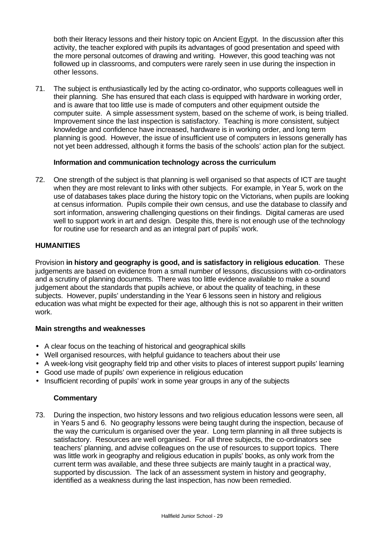both their literacy lessons and their history topic on Ancient Egypt. In the discussion after this activity, the teacher explored with pupils its advantages of good presentation and speed with the more personal outcomes of drawing and writing. However, this good teaching was not followed up in classrooms, and computers were rarely seen in use during the inspection in other lessons.

71. The subject is enthusiastically led by the acting co-ordinator, who supports colleagues well in their planning. She has ensured that each class is equipped with hardware in working order, and is aware that too little use is made of computers and other equipment outside the computer suite. A simple assessment system, based on the scheme of work, is being trialled. Improvement since the last inspection is satisfactory. Teaching is more consistent, subject knowledge and confidence have increased, hardware is in working order, and long term planning is good. However, the issue of insufficient use of computers in lessons generally has not yet been addressed, although it forms the basis of the schools' action plan for the subject.

#### **Information and communication technology across the curriculum**

72. One strength of the subject is that planning is well organised so that aspects of ICT are taught when they are most relevant to links with other subjects. For example, in Year 5, work on the use of databases takes place during the history topic on the Victorians, when pupils are looking at census information. Pupils compile their own census, and use the database to classify and sort information, answering challenging questions on their findings. Digital cameras are used well to support work in art and design. Despite this, there is not enough use of the technology for routine use for research and as an integral part of pupils' work.

# **HUMANITIES**

Provision **in history and geography is good, and is satisfactory in religious education**. These judgements are based on evidence from a small number of lessons, discussions with co-ordinators and a scrutiny of planning documents. There was too little evidence available to make a sound judgement about the standards that pupils achieve, or about the quality of teaching, in these subjects. However, pupils' understanding in the Year 6 lessons seen in history and religious education was what might be expected for their age, although this is not so apparent in their written work.

#### **Main strengths and weaknesses**

- A clear focus on the teaching of historical and geographical skills
- Well organised resources, with helpful guidance to teachers about their use
- A week-long visit geography field trip and other visits to places of interest support pupils' learning
- Good use made of pupils' own experience in religious education
- Insufficient recording of pupils' work in some year groups in any of the subjects

#### **Commentary**

73. During the inspection, two history lessons and two religious education lessons were seen, all in Years 5 and 6. No geography lessons were being taught during the inspection, because of the way the curriculum is organised over the year. Long term planning in all three subjects is satisfactory. Resources are well organised. For all three subjects, the co-ordinators see teachers' planning, and advise colleagues on the use of resources to support topics. There was little work in geography and religious education in pupils' books, as only work from the current term was available, and these three subjects are mainly taught in a practical way, supported by discussion. The lack of an assessment system in history and geography, identified as a weakness during the last inspection, has now been remedied.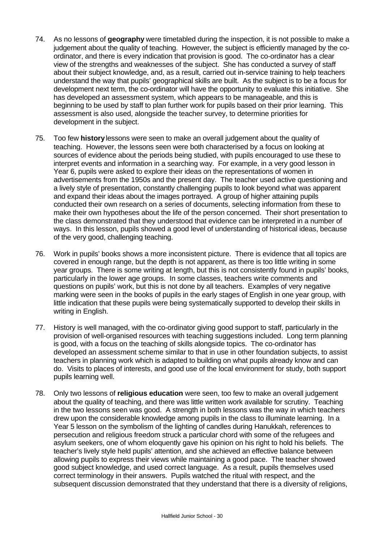- 74. As no lessons of **geography** were timetabled during the inspection, it is not possible to make a judgement about the quality of teaching. However, the subject is efficiently managed by the coordinator, and there is every indication that provision is good. The co-ordinator has a clear view of the strengths and weaknesses of the subject. She has conducted a survey of staff about their subject knowledge, and, as a result, carried out in-service training to help teachers understand the way that pupils' geographical skills are built. As the subject is to be a focus for development next term, the co-ordinator will have the opportunity to evaluate this initiative. She has developed an assessment system, which appears to be manageable, and this is beginning to be used by staff to plan further work for pupils based on their prior learning. This assessment is also used, alongside the teacher survey, to determine priorities for development in the subject.
- 75. Too few **history** lessons were seen to make an overall judgement about the quality of teaching. However, the lessons seen were both characterised by a focus on looking at sources of evidence about the periods being studied, with pupils encouraged to use these to interpret events and information in a searching way. For example, in a very good lesson in Year 6, pupils were asked to explore their ideas on the representations of women in advertisements from the 1950s and the present day. The teacher used active questioning and a lively style of presentation, constantly challenging pupils to look beyond what was apparent and expand their ideas about the images portrayed. A group of higher attaining pupils conducted their own research on a series of documents, selecting information from these to make their own hypotheses about the life of the person concerned. Their short presentation to the class demonstrated that they understood that evidence can be interpreted in a number of ways. In this lesson, pupils showed a good level of understanding of historical ideas, because of the very good, challenging teaching.
- 76. Work in pupils' books shows a more inconsistent picture. There is evidence that all topics are covered in enough range, but the depth is not apparent, as there is too little writing in some year groups. There is some writing at length, but this is not consistently found in pupils' books, particularly in the lower age groups. In some classes, teachers write comments and questions on pupils' work, but this is not done by all teachers. Examples of very negative marking were seen in the books of pupils in the early stages of English in one year group, with little indication that these pupils were being systematically supported to develop their skills in writing in English.
- 77. History is well managed, with the co-ordinator giving good support to staff, particularly in the provision of well-organised resources with teaching suggestions included. Long term planning is good, with a focus on the teaching of skills alongside topics. The co-ordinator has developed an assessment scheme similar to that in use in other foundation subjects, to assist teachers in planning work which is adapted to building on what pupils already know and can do. Visits to places of interests, and good use of the local environment for study, both support pupils learning well.
- 78. Only two lessons of **religious education** were seen, too few to make an overall judgement about the quality of teaching, and there was little written work available for scrutiny. Teaching in the two lessons seen was good. A strength in both lessons was the way in which teachers drew upon the considerable knowledge among pupils in the class to illuminate learning. In a Year 5 lesson on the symbolism of the lighting of candles during Hanukkah, references to persecution and religious freedom struck a particular chord with some of the refugees and asylum seekers, one of whom eloquently gave his opinion on his right to hold his beliefs. The teacher's lively style held pupils' attention, and she achieved an effective balance between allowing pupils to express their views while maintaining a good pace. The teacher showed good subject knowledge, and used correct language. As a result, pupils themselves used correct terminology in their answers. Pupils watched the ritual with respect, and the subsequent discussion demonstrated that they understand that there is a diversity of religions,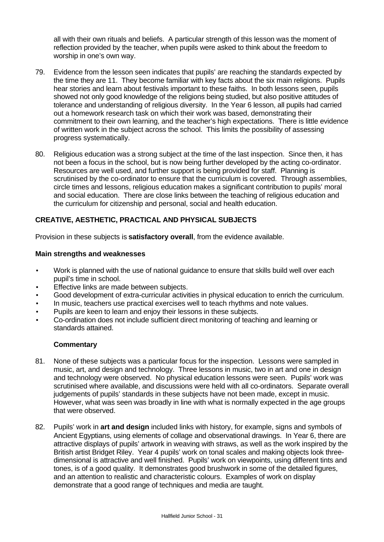all with their own rituals and beliefs. A particular strength of this lesson was the moment of reflection provided by the teacher, when pupils were asked to think about the freedom to worship in one's own way.

- 79. Evidence from the lesson seen indicates that pupils' are reaching the standards expected by the time they are 11. They become familiar with key facts about the six main religions. Pupils hear stories and learn about festivals important to these faiths. In both lessons seen, pupils showed not only good knowledge of the religions being studied, but also positive attitudes of tolerance and understanding of religious diversity. In the Year 6 lesson, all pupils had carried out a homework research task on which their work was based, demonstrating their commitment to their own learning, and the teacher's high expectations. There is little evidence of written work in the subject across the school. This limits the possibility of assessing progress systematically.
- 80. Religious education was a strong subject at the time of the last inspection. Since then, it has not been a focus in the school, but is now being further developed by the acting co-ordinator. Resources are well used, and further support is being provided for staff. Planning is scrutinised by the co-ordinator to ensure that the curriculum is covered. Through assemblies, circle times and lessons, religious education makes a significant contribution to pupils' moral and social education. There are close links between the teaching of religious education and the curriculum for citizenship and personal, social and health education.

# **CREATIVE, AESTHETIC, PRACTICAL AND PHYSICAL SUBJECTS**

Provision in these subjects is **satisfactory overall**, from the evidence available.

#### **Main strengths and weaknesses**

- Work is planned with the use of national guidance to ensure that skills build well over each pupil's time in school.
- Effective links are made between subjects.
- Good development of extra-curricular activities in physical education to enrich the curriculum.
- In music, teachers use practical exercises well to teach rhythms and note values.
- Pupils are keen to learn and enjoy their lessons in these subjects.
- Co-ordination does not include sufficient direct monitoring of teaching and learning or standards attained.

- 81. None of these subjects was a particular focus for the inspection. Lessons were sampled in music, art, and design and technology. Three lessons in music, two in art and one in design and technology were observed. No physical education lessons were seen. Pupils' work was scrutinised where available, and discussions were held with all co-ordinators. Separate overall judgements of pupils' standards in these subjects have not been made, except in music. However, what was seen was broadly in line with what is normally expected in the age groups that were observed.
- 82. Pupils' work in **art and design** included links with history, for example, signs and symbols of Ancient Egyptians, using elements of collage and observational drawings. In Year 6, there are attractive displays of pupils' artwork in weaving with straws, as well as the work inspired by the British artist Bridget Riley. Year 4 pupils' work on tonal scales and making objects look threedimensional is attractive and well finished. Pupils' work on viewpoints, using different tints and tones, is of a good quality. It demonstrates good brushwork in some of the detailed figures, and an attention to realistic and characteristic colours. Examples of work on display demonstrate that a good range of techniques and media are taught.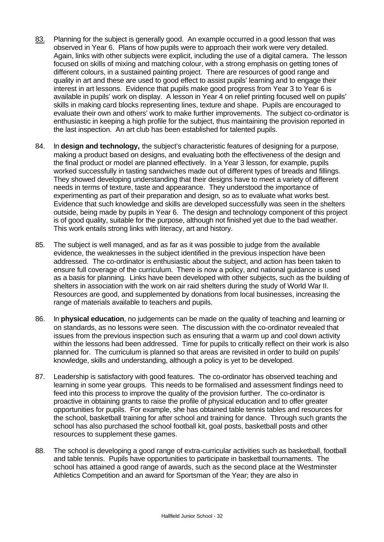- 83. Planning for the subject is generally good. An example occurred in a good lesson that was observed in Year 6. Plans of how pupils were to approach their work were very detailed. Again, links with other subjects were explicit, including the use of a digital camera. The lesson focused on skills of mixing and matching colour, with a strong emphasis on getting tones of different colours, in a sustained painting project. There are resources of good range and quality in art and these are used to good effect to assist pupils' learning and to engage their interest in art lessons. Evidence that pupils make good progress from Year 3 to Year 6 is available in pupils' work on display. A lesson in Year 4 on relief printing focused well on pupils' skills in making card blocks representing lines, texture and shape. Pupils are encouraged to evaluate their own and others' work to make further improvements. The subject co-ordinator is enthusiastic in keeping a high profile for the subject, thus maintaining the provision reported in the last inspection. An art club has been established for talented pupils.
- 84. In **design and technology,** the subject's characteristic features of designing for a purpose, making a product based on designs, and evaluating both the effectiveness of the design and the final product or model are planned effectively. In a Year 3 lesson, for example, pupils worked successfully in tasting sandwiches made out of different types of breads and fillings. They showed developing understanding that their designs have to meet a variety of different needs in terms of texture, taste and appearance. They understood the importance of experimenting as part of their preparation and design, so as to evaluate what works best. Evidence that such knowledge and skills are developed successfully was seen in the shelters outside, being made by pupils in Year 6. The design and technology component of this project is of good quality, suitable for the purpose, although not finished yet due to the bad weather. This work entails strong links with literacy, art and history.
- 85. The subject is well managed, and as far as it was possible to judge from the available evidence, the weaknesses in the subject identified in the previous inspection have been addressed. The co-ordinator is enthusiastic about the subject, and action has been taken to ensure full coverage of the curriculum. There is now a policy, and national guidance is used as a basis for planning. Links have been developed with other subjects, such as the building of shelters in association with the work on air raid shelters during the study of World War II. Resources are good, and supplemented by donations from local businesses, increasing the range of materials available to teachers and pupils.
- 86. In **physical education**, no judgements can be made on the quality of teaching and learning or on standards, as no lessons were seen. The discussion with the co-ordinator revealed that issues from the previous inspection such as ensuring that a warm up and cool down activity within the lessons had been addressed. Time for pupils to critically reflect on their work is also planned for. The curriculum is planned so that areas are revisited in order to build on pupils' knowledge, skills and understanding, although a policy is yet to be developed.
- 87. Leadership is satisfactory with good features. The co-ordinator has observed teaching and learning in some year groups. This needs to be formalised and assessment findings need to feed into this process to improve the quality of the provision further. The co-ordinator is proactive in obtaining grants to raise the profile of physical education and to offer greater opportunities for pupils. For example, she has obtained table tennis tables and resources for the school, basketball training for after school and training for dance. Through such grants the school has also purchased the school football kit, goal posts, basketball posts and other resources to supplement these games.
- 88. The school is developing a good range of extra-curricular activities such as basketball, football and table tennis. Pupils have opportunities to participate in basketball tournaments. The school has attained a good range of awards, such as the second place at the Westminster Athletics Competition and an award for Sportsman of the Year; they are also in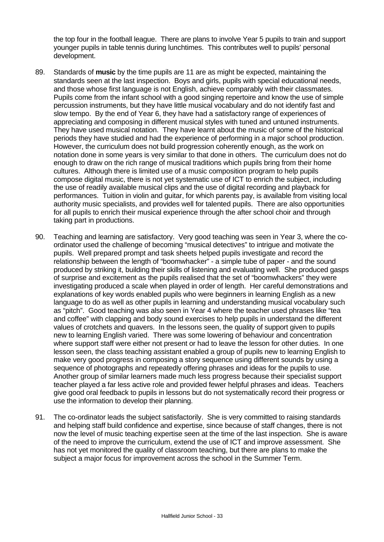the top four in the football league. There are plans to involve Year 5 pupils to train and support younger pupils in table tennis during lunchtimes. This contributes well to pupils' personal development.

- 89. Standards of **music** by the time pupils are 11 are as might be expected, maintaining the standards seen at the last inspection. Boys and girls, pupils with special educational needs, and those whose first language is not English, achieve comparably with their classmates. Pupils come from the infant school with a good singing repertoire and know the use of simple percussion instruments, but they have little musical vocabulary and do not identify fast and slow tempo. By the end of Year 6, they have had a satisfactory range of experiences of appreciating and composing in different musical styles with tuned and untuned instruments. They have used musical notation. They have learnt about the music of some of the historical periods they have studied and had the experience of performing in a major school production. However, the curriculum does not build progression coherently enough, as the work on notation done in some years is very similar to that done in others. The curriculum does not do enough to draw on the rich range of musical traditions which pupils bring from their home cultures. Although there is limited use of a music composition program to help pupils compose digital music, there is not yet systematic use of ICT to enrich the subject, including the use of readily available musical clips and the use of digital recording and playback for performances. Tuition in violin and guitar, for which parents pay, is available from visiting local authority music specialists, and provides well for talented pupils. There are also opportunities for all pupils to enrich their musical experience through the after school choir and through taking part in productions.
- 90. Teaching and learning are satisfactory. Very good teaching was seen in Year 3, where the coordinator used the challenge of becoming "musical detectives" to intrigue and motivate the pupils. Well prepared prompt and task sheets helped pupils investigate and record the relationship between the length of "boomwhacker" - a simple tube of paper - and the sound produced by striking it, building their skills of listening and evaluating well. She produced gasps of surprise and excitement as the pupils realised that the set of "boomwhackers" they were investigating produced a scale when played in order of length. Her careful demonstrations and explanations of key words enabled pupils who were beginners in learning English as a new language to do as well as other pupils in learning and understanding musical vocabulary such as "pitch". Good teaching was also seen in Year 4 where the teacher used phrases like "tea and coffee" with clapping and body sound exercises to help pupils in understand the different values of crotchets and quavers. In the lessons seen, the quality of support given to pupils new to learning English varied. There was some lowering of behaviour and concentration where support staff were either not present or had to leave the lesson for other duties. In one lesson seen, the class teaching assistant enabled a group of pupils new to learning English to make very good progress in composing a story sequence using different sounds by using a sequence of photographs and repeatedly offering phrases and ideas for the pupils to use. Another group of similar learners made much less progress because their specialist support teacher played a far less active role and provided fewer helpful phrases and ideas. Teachers give good oral feedback to pupils in lessons but do not systematically record their progress or use the information to develop their planning.
- 91. The co-ordinator leads the subject satisfactorily. She is very committed to raising standards and helping staff build confidence and expertise, since because of staff changes, there is not now the level of music teaching expertise seen at the time of the last inspection. She is aware of the need to improve the curriculum, extend the use of ICT and improve assessment. She has not yet monitored the quality of classroom teaching, but there are plans to make the subject a major focus for improvement across the school in the Summer Term.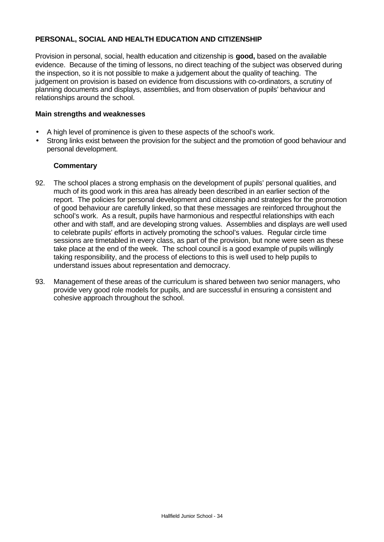# **PERSONAL, SOCIAL AND HEALTH EDUCATION AND CITIZENSHIP**

Provision in personal, social, health education and citizenship is **good,** based on the available evidence. Because of the timing of lessons, no direct teaching of the subject was observed during the inspection, so it is not possible to make a judgement about the quality of teaching. The judgement on provision is based on evidence from discussions with co-ordinators, a scrutiny of planning documents and displays, assemblies, and from observation of pupils' behaviour and relationships around the school.

#### **Main strengths and weaknesses**

- A high level of prominence is given to these aspects of the school's work.
- Strong links exist between the provision for the subject and the promotion of good behaviour and personal development.

- 92. The school places a strong emphasis on the development of pupils' personal qualities, and much of its good work in this area has already been described in an earlier section of the report. The policies for personal development and citizenship and strategies for the promotion of good behaviour are carefully linked, so that these messages are reinforced throughout the school's work. As a result, pupils have harmonious and respectful relationships with each other and with staff, and are developing strong values. Assemblies and displays are well used to celebrate pupils' efforts in actively promoting the school's values. Regular circle time sessions are timetabled in every class, as part of the provision, but none were seen as these take place at the end of the week. The school council is a good example of pupils willingly taking responsibility, and the process of elections to this is well used to help pupils to understand issues about representation and democracy.
- 93. Management of these areas of the curriculum is shared between two senior managers, who provide very good role models for pupils, and are successful in ensuring a consistent and cohesive approach throughout the school.